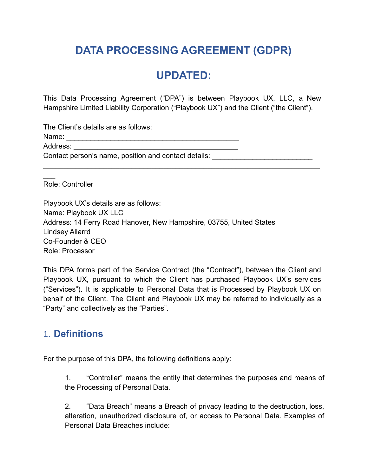# **DATA PROCESSING AGREEMENT (GDPR)**

## **UPDATED:**

This Data Processing Agreement ("DPA") is between Playbook UX, LLC, a New Hampshire Limited Liability Corporation ("Playbook UX") and the Client ("the Client").

 $\mathcal{L}_\text{max} = \mathcal{L}_\text{max} = \mathcal{L}_\text{max} = \mathcal{L}_\text{max} = \mathcal{L}_\text{max} = \mathcal{L}_\text{max} = \mathcal{L}_\text{max} = \mathcal{L}_\text{max} = \mathcal{L}_\text{max} = \mathcal{L}_\text{max} = \mathcal{L}_\text{max} = \mathcal{L}_\text{max} = \mathcal{L}_\text{max} = \mathcal{L}_\text{max} = \mathcal{L}_\text{max} = \mathcal{L}_\text{max} = \mathcal{L}_\text{max} = \mathcal{L}_\text{max} = \mathcal{$ 

| The Client's details are as follows:                 |  |
|------------------------------------------------------|--|
| Name:                                                |  |
| Address:                                             |  |
| Contact person's name, position and contact details: |  |

Role: Controller

 $\overline{\phantom{a}}$ 

Playbook UX's details are as follows: Name: Playbook UX LLC Address: 14 Ferry Road Hanover, New Hampshire, 03755, United States Lindsey Allarrd Co-Founder & CEO Role: Processor

This DPA forms part of the Service Contract (the "Contract"), between the Client and Playbook UX, pursuant to which the Client has purchased Playbook UX's services ("Services"). It is applicable to Personal Data that is Processed by Playbook UX on behalf of the Client. The Client and Playbook UX may be referred to individually as a "Party" and collectively as the "Parties".

## 1. **Definitions**

For the purpose of this DPA, the following definitions apply:

1. "Controller" means the entity that determines the purposes and means of the Processing of Personal Data.

2. "Data Breach" means a Breach of privacy leading to the destruction, loss, alteration, unauthorized disclosure of, or access to Personal Data. Examples of Personal Data Breaches include: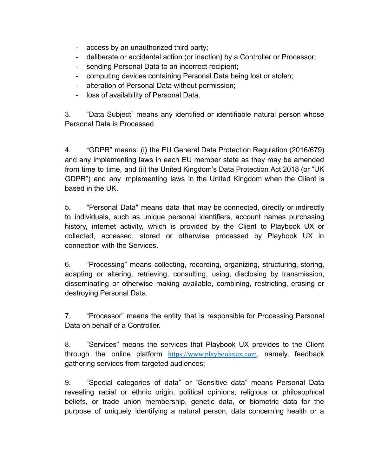- access by an unauthorized third party;
- deliberate or accidental action (or inaction) by a Controller or Processor;
- sending Personal Data to an incorrect recipient;
- computing devices containing Personal Data being lost or stolen;
- alteration of Personal Data without permission;
- loss of availability of Personal Data.

3. "Data Subject" means any identified or identifiable natural person whose Personal Data is Processed.

4. "GDPR" means: (i) the EU General Data Protection Regulation (2016/679) and any implementing laws in each EU member state as they may be amended from time to time, and (ii) the United Kingdom's Data Protection Act 2018 (or "UK GDPR") and any implementing laws in the United Kingdom when the Client is based in the UK.

5. "Personal Data" means data that may be connected, directly or indirectly to individuals, such as unique personal identifiers, account names purchasing history, internet activity, which is provided by the Client to Playbook UX or collected, accessed, stored or otherwise processed by Playbook UX in connection with the Services.

6. "Processing" means collecting, recording, organizing, structuring, storing, adapting or altering, retrieving, consulting, using, disclosing by transmission, disseminating or otherwise making available, combining, restricting, erasing or destroying Personal Data.

7. "Processor" means the entity that is responsible for Processing Personal Data on behalf of a Controller.

8. "Services" means the services that Playbook UX provides to the Client through the online platform <https://www.playbookxux.com>, namely, feedback gathering services from targeted audiences;

9. "Special categories of data" or "Sensitive data" means Personal Data revealing racial or ethnic origin, political opinions, religious or philosophical beliefs, or trade union membership, genetic data, or biometric data for the purpose of uniquely identifying a natural person, data concerning health or a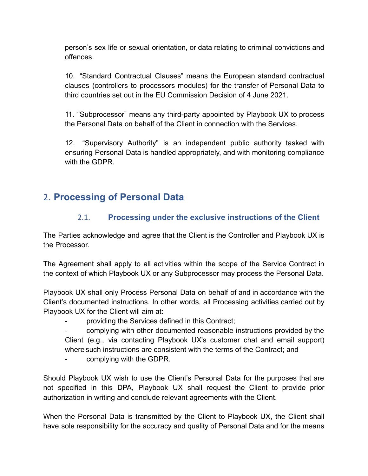person's sex life or sexual orientation, or data relating to criminal convictions and offences.

10. "Standard Contractual Clauses" means the European standard contractual clauses (controllers to processors modules) for the transfer of Personal Data to third countries set out in the EU Commission Decision of 4 June 2021.

11. "Subprocessor" means any third-party appointed by Playbook UX to process the Personal Data on behalf of the Client in connection with the Services.

12. "Supervisory Authority" is an independent public authority tasked with ensuring Personal Data is handled appropriately, and with monitoring compliance with the GDPR.

## 2. **Processing of Personal Data**

#### 2.1. **Processing under the exclusive instructions of the Client**

The Parties acknowledge and agree that the Client is the Controller and Playbook UX is the Processor.

The Agreement shall apply to all activities within the scope of the Service Contract in the context of which Playbook UX or any Subprocessor may process the Personal Data.

Playbook UX shall only Process Personal Data on behalf of and in accordance with the Client's documented instructions. In other words, all Processing activities carried out by Playbook UX for the Client will aim at:

providing the Services defined in this Contract;

- complying with other documented reasonable instructions provided by the Client (e.g., via contacting Playbook UX's customer chat and email support) where such instructions are consistent with the terms of the Contract; and

- complying with the GDPR.

Should Playbook UX wish to use the Client's Personal Data for the purposes that are not specified in this DPA, Playbook UX shall request the Client to provide prior authorization in writing and conclude relevant agreements with the Client.

When the Personal Data is transmitted by the Client to Playbook UX, the Client shall have sole responsibility for the accuracy and quality of Personal Data and for the means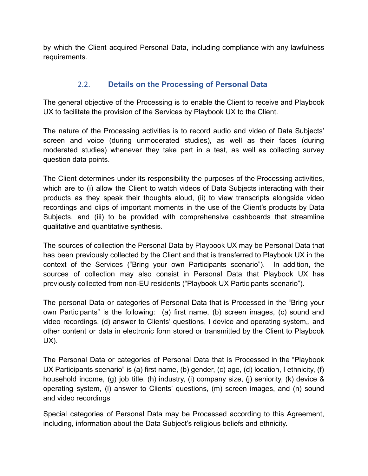by which the Client acquired Personal Data, including compliance with any lawfulness requirements.

#### 2.2. **Details on the Processing of Personal Data**

The general objective of the Processing is to enable the Client to receive and Playbook UX to facilitate the provision of the Services by Playbook UX to the Client.

The nature of the Processing activities is to record audio and video of Data Subjects' screen and voice (during unmoderated studies), as well as their faces (during moderated studies) whenever they take part in a test, as well as collecting survey question data points.

The Client determines under its responsibility the purposes of the Processing activities, which are to (i) allow the Client to watch videos of Data Subjects interacting with their products as they speak their thoughts aloud, (ii) to view transcripts alongside video recordings and clips of important moments in the use of the Client's products by Data Subjects, and (iii) to be provided with comprehensive dashboards that streamline qualitative and quantitative synthesis.

The sources of collection the Personal Data by Playbook UX may be Personal Data that has been previously collected by the Client and that is transferred to Playbook UX in the context of the Services ("Bring your own Participants scenario"). In addition, the sources of collection may also consist in Personal Data that Playbook UX has previously collected from non-EU residents ("Playbook UX Participants scenario").

The personal Data or categories of Personal Data that is Processed in the "Bring your own Participants" is the following: (a) first name, (b) screen images, (c) sound and video recordings, (d) answer to Clients' questions, I device and operating system,, and other content or data in electronic form stored or transmitted by the Client to Playbook UX).

The Personal Data or categories of Personal Data that is Processed in the "Playbook UX Participants scenario" is (a) first name, (b) gender, (c) age, (d) location, I ethnicity, (f) household income, (g) job title, (h) industry, (i) company size, (j) seniority, (k) device & operating system, (l) answer to Clients' questions, (m) screen images, and (n) sound and video recordings

Special categories of Personal Data may be Processed according to this Agreement, including, information about the Data Subject's religious beliefs and ethnicity.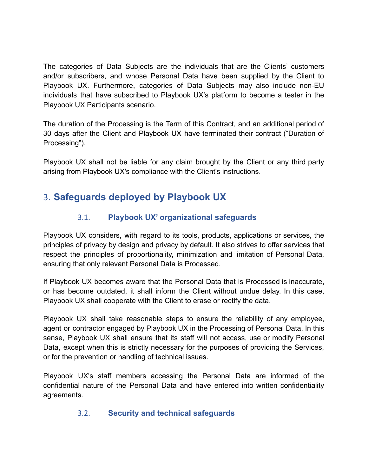The categories of Data Subjects are the individuals that are the Clients' customers and/or subscribers, and whose Personal Data have been supplied by the Client to Playbook UX. Furthermore, categories of Data Subjects may also include non-EU individuals that have subscribed to Playbook UX's platform to become a tester in the Playbook UX Participants scenario.

The duration of the Processing is the Term of this Contract, and an additional period of 30 days after the Client and Playbook UX have terminated their contract ("Duration of Processing").

Playbook UX shall not be liable for any claim brought by the Client or any third party arising from Playbook UX's compliance with the Client's instructions.

## 3. **Safeguards deployed by Playbook UX**

#### 3.1. **Playbook UX' organizational safeguards**

Playbook UX considers, with regard to its tools, products, applications or services, the principles of privacy by design and privacy by default. It also strives to offer services that respect the principles of proportionality, minimization and limitation of Personal Data, ensuring that only relevant Personal Data is Processed.

If Playbook UX becomes aware that the Personal Data that is Processed is inaccurate, or has become outdated, it shall inform the Client without undue delay. In this case, Playbook UX shall cooperate with the Client to erase or rectify the data.

Playbook UX shall take reasonable steps to ensure the reliability of any employee, agent or contractor engaged by Playbook UX in the Processing of Personal Data. In this sense, Playbook UX shall ensure that its staff will not access, use or modify Personal Data, except when this is strictly necessary for the purposes of providing the Services, or for the prevention or handling of technical issues.

Playbook UX's staff members accessing the Personal Data are informed of the confidential nature of the Personal Data and have entered into written confidentiality agreements.

#### 3.2. **Security and technical safeguards**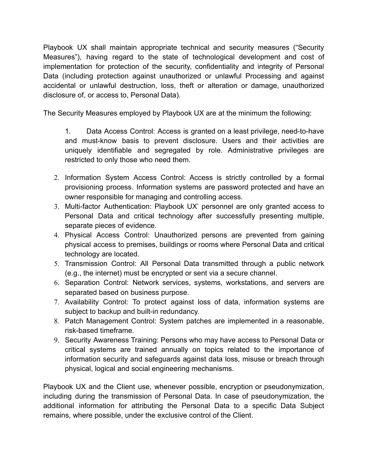Playbook UX shall maintain appropriate technical and security measures ("Security Measures"), having regard to the state of technological development and cost of implementation for protection of the security, confidentiality and integrity of Personal Data (including protection against unauthorized or unlawful Processing and against accidental or unlawful destruction, loss, theft or alteration or damage, unauthorized disclosure of, or access to, Personal Data).

The Security Measures employed by Playbook UX are at the minimum the following:

1. Data Access Control: Access is granted on a least privilege, need-to-have and must-know basis to prevent disclosure. Users and their activities are uniquely identifiable and segregated by role. Administrative privileges are restricted to only those who need them.

- 2. Information System Access Control: Access is strictly controlled by a formal provisioning process. Information systems are password protected and have an owner responsible for managing and controlling access.
- 3. Multi-factor Authentication: Playbook UX' personnel are only granted access to Personal Data and critical technology after successfully presenting multiple, separate pieces of evidence.
- 4. Physical Access Control: Unauthorized persons are prevented from gaining physical access to premises, buildings or rooms where Personal Data and critical technology are located.
- 5. Transmission Control: All Personal Data transmitted through a public network (e.g., the internet) must be encrypted or sent via a secure channel.
- 6. Separation Control: Network services, systems, workstations, and servers are separated based on business purpose.
- 7. Availability Control: To protect against loss of data, information systems are subject to backup and built-in redundancy.
- 8. Patch Management Control: System patches are implemented in a reasonable, risk-based timeframe.
- 9. Security Awareness Training: Persons who may have access to Personal Data or critical systems are trained annually on topics related to the importance of information security and safeguards against data loss, misuse or breach through physical, logical and social engineering mechanisms.

Playbook UX and the Client use, whenever possible, encryption or pseudonymization, including during the transmission of Personal Data. In case of pseudonymization, the additional information for attributing the Personal Data to a specific Data Subject remains, where possible, under the exclusive control of the Client.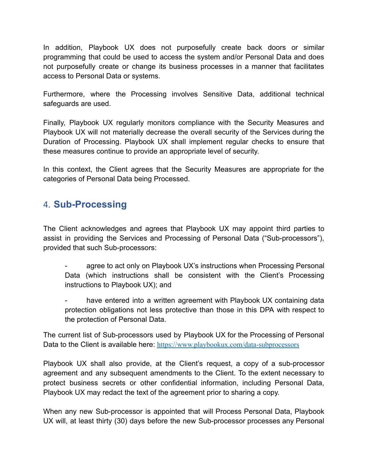In addition, Playbook UX does not purposefully create back doors or similar programming that could be used to access the system and/or Personal Data and does not purposefully create or change its business processes in a manner that facilitates access to Personal Data or systems.

Furthermore, where the Processing involves Sensitive Data, additional technical safeguards are used.

Finally, Playbook UX regularly monitors compliance with the Security Measures and Playbook UX will not materially decrease the overall security of the Services during the Duration of Processing. Playbook UX shall implement regular checks to ensure that these measures continue to provide an appropriate level of security.

In this context, the Client agrees that the Security Measures are appropriate for the categories of Personal Data being Processed.

## 4. **Sub-Processing**

The Client acknowledges and agrees that Playbook UX may appoint third parties to assist in providing the Services and Processing of Personal Data ("Sub-processors"), provided that such Sub-processors:

agree to act only on Playbook UX's instructions when Processing Personal Data (which instructions shall be consistent with the Client's Processing instructions to Playbook UX); and

have entered into a written agreement with Playbook UX containing data protection obligations not less protective than those in this DPA with respect to the protection of Personal Data.

The current list of Sub-processors used by Playbook UX for the Processing of Personal Data to the Client is available here: <https://www.playbookux.com/data-subprocessors>

Playbook UX shall also provide, at the Client's request, a copy of a sub-processor agreement and any subsequent amendments to the Client. To the extent necessary to protect business secrets or other confidential information, including Personal Data, Playbook UX may redact the text of the agreement prior to sharing a copy.

When any new Sub-processor is appointed that will Process Personal Data, Playbook UX will, at least thirty (30) days before the new Sub-processor processes any Personal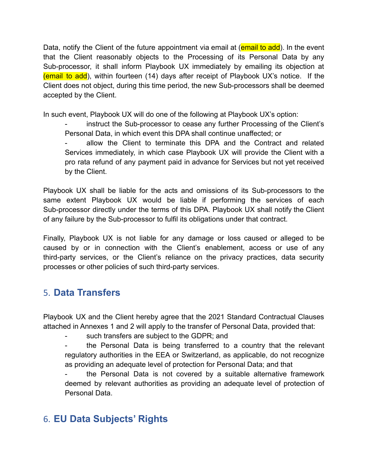Data, notify the Client of the future appointment via email at (**email to add**). In the event that the Client reasonably objects to the Processing of its Personal Data by any Sub-processor, it shall inform Playbook UX immediately by emailing its objection at (email to add), within fourteen (14) days after receipt of Playbook UX's notice. If the Client does not object, during this time period, the new Sub-processors shall be deemed accepted by the Client.

In such event, Playbook UX will do one of the following at Playbook UX's option:

- instruct the Sub-processor to cease any further Processing of the Client's Personal Data, in which event this DPA shall continue unaffected; or
- allow the Client to terminate this DPA and the Contract and related Services immediately, in which case Playbook UX will provide the Client with a pro rata refund of any payment paid in advance for Services but not yet received by the Client.

Playbook UX shall be liable for the acts and omissions of its Sub-processors to the same extent Playbook UX would be liable if performing the services of each Sub-processor directly under the terms of this DPA. Playbook UX shall notify the Client of any failure by the Sub-processor to fulfil its obligations under that contract.

Finally, Playbook UX is not liable for any damage or loss caused or alleged to be caused by or in connection with the Client's enablement, access or use of any third-party services, or the Client's reliance on the privacy practices, data security processes or other policies of such third-party services.

## 5. **Data Transfers**

Playbook UX and the Client hereby agree that the 2021 Standard Contractual Clauses attached in Annexes 1 and 2 will apply to the transfer of Personal Data, provided that:

such transfers are subject to the GDPR; and

- the Personal Data is being transferred to a country that the relevant regulatory authorities in the EEA or Switzerland, as applicable, do not recognize as providing an adequate level of protection for Personal Data; and that

- the Personal Data is not covered by a suitable alternative framework deemed by relevant authorities as providing an adequate level of protection of Personal Data.

## 6. **EU Data Subjects' Rights**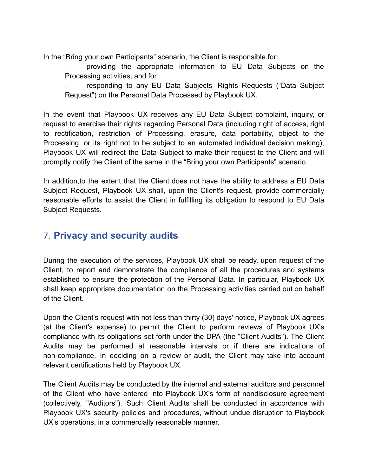In the "Bring your own Participants" scenario, the Client is responsible for:

- providing the appropriate information to EU Data Subjects on the Processing activities; and for

responding to any EU Data Subjects' Rights Requests ("Data Subject Request") on the Personal Data Processed by Playbook UX.

In the event that Playbook UX receives any EU Data Subject complaint, inquiry, or request to exercise their rights regarding Personal Data (including right of access, right to rectification, restriction of Processing, erasure, data portability, object to the Processing, or its right not to be subject to an automated individual decision making), Playbook UX will redirect the Data Subject to make their request to the Client and will promptly notify the Client of the same in the "Bring your own Participants" scenario.

In addition,to the extent that the Client does not have the ability to address a EU Data Subject Request, Playbook UX shall, upon the Client's request, provide commercially reasonable efforts to assist the Client in fulfilling its obligation to respond to EU Data Subject Requests.

## 7. **Privacy and security audits**

During the execution of the services, Playbook UX shall be ready, upon request of the Client, to report and demonstrate the compliance of all the procedures and systems established to ensure the protection of the Personal Data. In particular, Playbook UX shall keep appropriate documentation on the Processing activities carried out on behalf of the Client.

Upon the Client's request with not less than thirty (30) days' notice, Playbook UX agrees (at the Client's expense) to permit the Client to perform reviews of Playbook UX's compliance with its obligations set forth under the DPA (the "Client Audits"). The Client Audits may be performed at reasonable intervals or if there are indications of non-compliance. In deciding on a review or audit, the Client may take into account relevant certifications held by Playbook UX.

The Client Audits may be conducted by the internal and external auditors and personnel of the Client who have entered into Playbook UX's form of nondisclosure agreement (collectively, "Auditors"). Such Client Audits shall be conducted in accordance with Playbook UX's security policies and procedures, without undue disruption to Playbook UX's operations, in a commercially reasonable manner.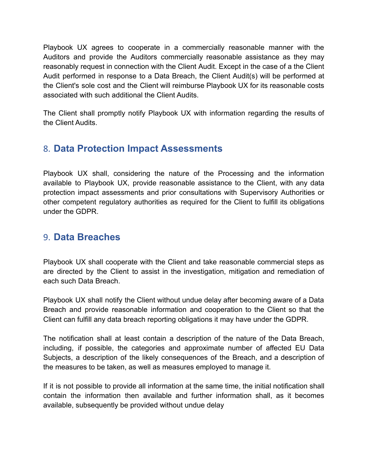Playbook UX agrees to cooperate in a commercially reasonable manner with the Auditors and provide the Auditors commercially reasonable assistance as they may reasonably request in connection with the Client Audit. Except in the case of a the Client Audit performed in response to a Data Breach, the Client Audit(s) will be performed at the Client's sole cost and the Client will reimburse Playbook UX for its reasonable costs associated with such additional the Client Audits.

The Client shall promptly notify Playbook UX with information regarding the results of the Client Audits.

## 8. **Data Protection Impact Assessments**

Playbook UX shall, considering the nature of the Processing and the information available to Playbook UX, provide reasonable assistance to the Client, with any data protection impact assessments and prior consultations with Supervisory Authorities or other competent regulatory authorities as required for the Client to fulfill its obligations under the GDPR.

### 9. **Data Breaches**

Playbook UX shall cooperate with the Client and take reasonable commercial steps as are directed by the Client to assist in the investigation, mitigation and remediation of each such Data Breach.

Playbook UX shall notify the Client without undue delay after becoming aware of a Data Breach and provide reasonable information and cooperation to the Client so that the Client can fulfill any data breach reporting obligations it may have under the GDPR.

The notification shall at least contain a description of the nature of the Data Breach, including, if possible, the categories and approximate number of affected EU Data Subjects, a description of the likely consequences of the Breach, and a description of the measures to be taken, as well as measures employed to manage it.

If it is not possible to provide all information at the same time, the initial notification shall contain the information then available and further information shall, as it becomes available, subsequently be provided without undue delay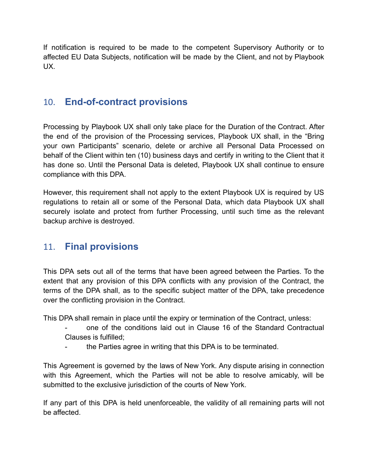If notification is required to be made to the competent Supervisory Authority or to affected EU Data Subjects, notification will be made by the Client, and not by Playbook UX.

## 10. **End-of-contract provisions**

Processing by Playbook UX shall only take place for the Duration of the Contract. After the end of the provision of the Processing services, Playbook UX shall, in the "Bring your own Participants" scenario, delete or archive all Personal Data Processed on behalf of the Client within ten (10) business days and certify in writing to the Client that it has done so. Until the Personal Data is deleted, Playbook UX shall continue to ensure compliance with this DPA.

However, this requirement shall not apply to the extent Playbook UX is required by US regulations to retain all or some of the Personal Data, which data Playbook UX shall securely isolate and protect from further Processing, until such time as the relevant backup archive is destroyed.

## 11. **Final provisions**

This DPA sets out all of the terms that have been agreed between the Parties. To the extent that any provision of this DPA conflicts with any provision of the Contract, the terms of the DPA shall, as to the specific subject matter of the DPA, take precedence over the conflicting provision in the Contract.

This DPA shall remain in place until the expiry or termination of the Contract, unless:

- one of the conditions laid out in Clause 16 of the Standard Contractual Clauses is fulfilled;
- the Parties agree in writing that this DPA is to be terminated.

This Agreement is governed by the laws of New York. Any dispute arising in connection with this Agreement, which the Parties will not be able to resolve amicably, will be submitted to the exclusive jurisdiction of the courts of New York.

If any part of this DPA is held unenforceable, the validity of all remaining parts will not be affected.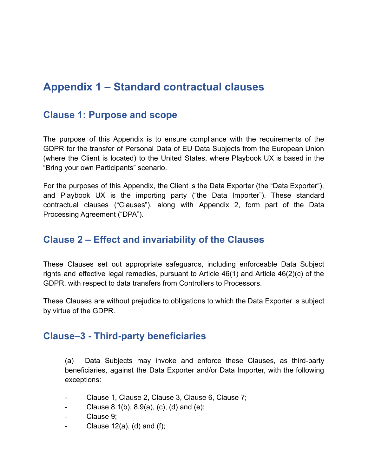## **Appendix 1 – Standard contractual clauses**

### **Clause 1: Purpose and scope**

The purpose of this Appendix is to ensure compliance with the requirements of the GDPR for the transfer of Personal Data of EU Data Subjects from the European Union (where the Client is located) to the United States, where Playbook UX is based in the "Bring your own Participants" scenario.

For the purposes of this Appendix, the Client is the Data Exporter (the "Data Exporter"), and Playbook UX is the importing party ("the Data Importer"). These standard contractual clauses ("Clauses"), along with Appendix 2, form part of the Data Processing Agreement ("DPA").

### **Clause 2 – Effect and invariability of the Clauses**

These Clauses set out appropriate safeguards, including enforceable Data Subject rights and effective legal remedies, pursuant to Article 46(1) and Article 46(2)(c) of the GDPR, with respect to data transfers from Controllers to Processors.

These Clauses are without prejudice to obligations to which the Data Exporter is subject by virtue of the GDPR.

#### **Clause–3 - Third-party beneficiaries**

(a) Data Subjects may invoke and enforce these Clauses, as third-party beneficiaries, against the Data Exporter and/or Data Importer, with the following exceptions:

- Clause 1, Clause 2, Clause 3, Clause 6, Clause 7;
- Clause 8.1(b), 8.9(a), (c), (d) and (e);
- Clause 9;
- Clause  $12(a)$ , (d) and (f);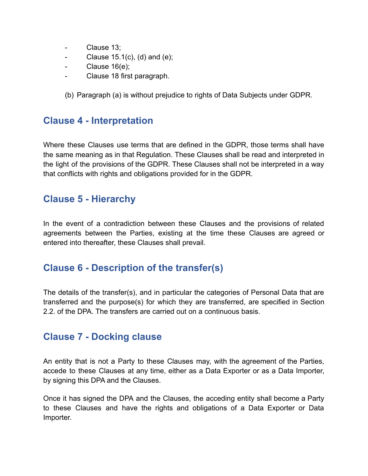- Clause 13;
- Clause  $15.1(c)$ , (d) and (e);
- Clause 16(e);
- Clause 18 first paragraph.

(b) Paragraph (a) is without prejudice to rights of Data Subjects under GDPR.

## **Clause 4 - Interpretation**

Where these Clauses use terms that are defined in the GDPR, those terms shall have the same meaning as in that Regulation. These Clauses shall be read and interpreted in the light of the provisions of the GDPR. These Clauses shall not be interpreted in a way that conflicts with rights and obligations provided for in the GDPR.

## **Clause 5 - Hierarchy**

In the event of a contradiction between these Clauses and the provisions of related agreements between the Parties, existing at the time these Clauses are agreed or entered into thereafter, these Clauses shall prevail.

## **Clause 6 - Description of the transfer(s)**

The details of the transfer(s), and in particular the categories of Personal Data that are transferred and the purpose(s) for which they are transferred, are specified in Section 2.2. of the DPA. The transfers are carried out on a continuous basis.

## **Clause 7 - Docking clause**

An entity that is not a Party to these Clauses may, with the agreement of the Parties, accede to these Clauses at any time, either as a Data Exporter or as a Data Importer, by signing this DPA and the Clauses.

Once it has signed the DPA and the Clauses, the acceding entity shall become a Party to these Clauses and have the rights and obligations of a Data Exporter or Data Importer.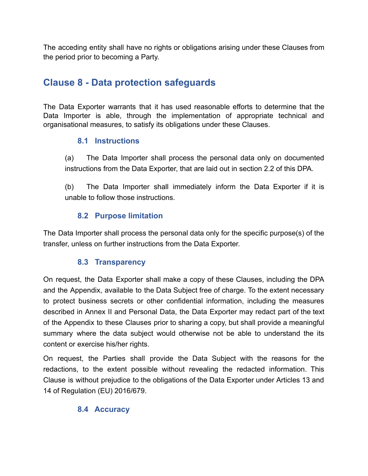The acceding entity shall have no rights or obligations arising under these Clauses from the period prior to becoming a Party.

## **Clause 8 - Data protection safeguards**

The Data Exporter warrants that it has used reasonable efforts to determine that the Data Importer is able, through the implementation of appropriate technical and organisational measures, to satisfy its obligations under these Clauses.

#### **8.1 Instructions**

(a) The Data Importer shall process the personal data only on documented instructions from the Data Exporter, that are laid out in section 2.2 of this DPA.

(b) The Data Importer shall immediately inform the Data Exporter if it is unable to follow those instructions.

#### **8.2 Purpose limitation**

The Data Importer shall process the personal data only for the specific purpose(s) of the transfer, unless on further instructions from the Data Exporter.

#### **8.3 Transparency**

On request, the Data Exporter shall make a copy of these Clauses, including the DPA and the Appendix, available to the Data Subject free of charge. To the extent necessary to protect business secrets or other confidential information, including the measures described in Annex II and Personal Data, the Data Exporter may redact part of the text of the Appendix to these Clauses prior to sharing a copy, but shall provide a meaningful summary where the data subject would otherwise not be able to understand the its content or exercise his/her rights.

On request, the Parties shall provide the Data Subject with the reasons for the redactions, to the extent possible without revealing the redacted information. This Clause is without prejudice to the obligations of the Data Exporter under Articles 13 and 14 of Regulation (EU) 2016/679.

#### **8.4 Accuracy**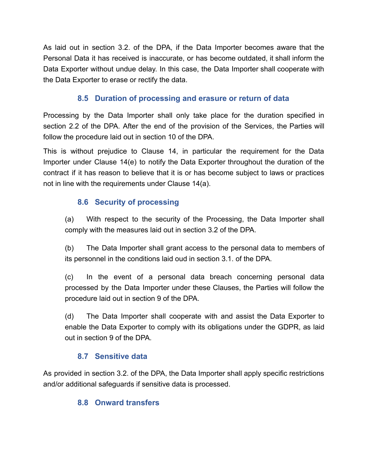As laid out in section 3.2. of the DPA, if the Data Importer becomes aware that the Personal Data it has received is inaccurate, or has become outdated, it shall inform the Data Exporter without undue delay. In this case, the Data Importer shall cooperate with the Data Exporter to erase or rectify the data.

#### **8.5 Duration of processing and erasure or return of data**

Processing by the Data Importer shall only take place for the duration specified in section 2.2 of the DPA. After the end of the provision of the Services, the Parties will follow the procedure laid out in section 10 of the DPA.

This is without prejudice to Clause 14, in particular the requirement for the Data Importer under Clause 14(e) to notify the Data Exporter throughout the duration of the contract if it has reason to believe that it is or has become subject to laws or practices not in line with the requirements under Clause 14(a).

#### **8.6 Security of processing**

(a) With respect to the security of the Processing, the Data Importer shall comply with the measures laid out in section 3.2 of the DPA.

(b) The Data Importer shall grant access to the personal data to members of its personnel in the conditions laid oud in section 3.1. of the DPA.

(c) In the event of a personal data breach concerning personal data processed by the Data Importer under these Clauses, the Parties will follow the procedure laid out in section 9 of the DPA.

(d) The Data Importer shall cooperate with and assist the Data Exporter to enable the Data Exporter to comply with its obligations under the GDPR, as laid out in section 9 of the DPA.

#### **8.7 Sensitive data**

As provided in section 3.2. of the DPA, the Data Importer shall apply specific restrictions and/or additional safeguards if sensitive data is processed.

#### **8.8 Onward transfers**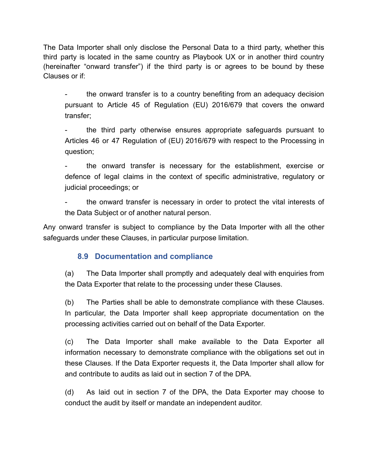The Data Importer shall only disclose the Personal Data to a third party, whether this third party is located in the same country as Playbook UX or in another third country (hereinafter "onward transfer") if the third party is or agrees to be bound by these Clauses or if:

the onward transfer is to a country benefiting from an adequacy decision pursuant to Article 45 of Regulation (EU) 2016/679 that covers the onward transfer;

the third party otherwise ensures appropriate safeguards pursuant to Articles 46 or 47 Regulation of (EU) 2016/679 with respect to the Processing in question;

- the onward transfer is necessary for the establishment, exercise or defence of legal claims in the context of specific administrative, regulatory or judicial proceedings; or

the onward transfer is necessary in order to protect the vital interests of the Data Subject or of another natural person.

Any onward transfer is subject to compliance by the Data Importer with all the other safeguards under these Clauses, in particular purpose limitation.

#### **8.9 Documentation and compliance**

(a) The Data Importer shall promptly and adequately deal with enquiries from the Data Exporter that relate to the processing under these Clauses.

(b) The Parties shall be able to demonstrate compliance with these Clauses. In particular, the Data Importer shall keep appropriate documentation on the processing activities carried out on behalf of the Data Exporter.

(c) The Data Importer shall make available to the Data Exporter all information necessary to demonstrate compliance with the obligations set out in these Clauses. If the Data Exporter requests it, the Data Importer shall allow for and contribute to audits as laid out in section 7 of the DPA.

(d) As laid out in section 7 of the DPA, the Data Exporter may choose to conduct the audit by itself or mandate an independent auditor.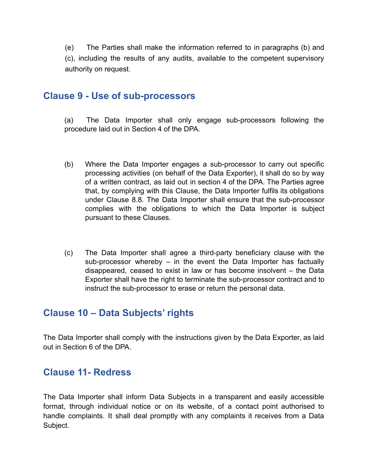(e) The Parties shall make the information referred to in paragraphs (b) and (c), including the results of any audits, available to the competent supervisory authority on request.

#### **Clause 9 - Use of sub-processors**

(a) The Data Importer shall only engage sub-processors following the procedure laid out in Section 4 of the DPA.

- (b) Where the Data Importer engages a sub-processor to carry out specific processing activities (on behalf of the Data Exporter), it shall do so by way of a written contract, as laid out in section 4 of the DPA. The Parties agree that, by complying with this Clause, the Data Importer fulfils its obligations under Clause 8.8. The Data Importer shall ensure that the sub-processor complies with the obligations to which the Data Importer is subject pursuant to these Clauses.
- (c) The Data Importer shall agree a third-party beneficiary clause with the sub-processor whereby  $-$  in the event the Data Importer has factually disappeared, ceased to exist in law or has become insolvent – the Data Exporter shall have the right to terminate the sub-processor contract and to instruct the sub-processor to erase or return the personal data.

## **Clause 10 – Data Subjects' rights**

The Data Importer shall comply with the instructions given by the Data Exporter, as laid out in Section 6 of the DPA.

## **Clause 11- Redress**

The Data Importer shall inform Data Subjects in a transparent and easily accessible format, through individual notice or on its website, of a contact point authorised to handle complaints. It shall deal promptly with any complaints it receives from a Data Subject.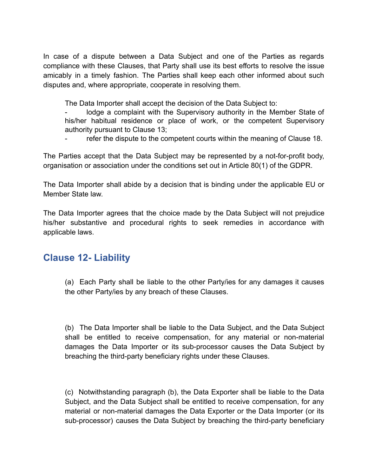In case of a dispute between a Data Subject and one of the Parties as regards compliance with these Clauses, that Party shall use its best efforts to resolve the issue amicably in a timely fashion. The Parties shall keep each other informed about such disputes and, where appropriate, cooperate in resolving them.

The Data Importer shall accept the decision of the Data Subject to:

lodge a complaint with the Supervisory authority in the Member State of his/her habitual residence or place of work, or the competent Supervisory authority pursuant to Clause 13;

refer the dispute to the competent courts within the meaning of Clause 18.

The Parties accept that the Data Subject may be represented by a not-for-profit body, organisation or association under the conditions set out in Article 80(1) of the GDPR.

The Data Importer shall abide by a decision that is binding under the applicable EU or Member State law.

The Data Importer agrees that the choice made by the Data Subject will not prejudice his/her substantive and procedural rights to seek remedies in accordance with applicable laws.

## **Clause 12- Liability**

(a) Each Party shall be liable to the other Party/ies for any damages it causes the other Party/ies by any breach of these Clauses.

(b) The Data Importer shall be liable to the Data Subject, and the Data Subject shall be entitled to receive compensation, for any material or non-material damages the Data Importer or its sub-processor causes the Data Subject by breaching the third-party beneficiary rights under these Clauses.

(c) Notwithstanding paragraph (b), the Data Exporter shall be liable to the Data Subject, and the Data Subject shall be entitled to receive compensation, for any material or non-material damages the Data Exporter or the Data Importer (or its sub-processor) causes the Data Subject by breaching the third-party beneficiary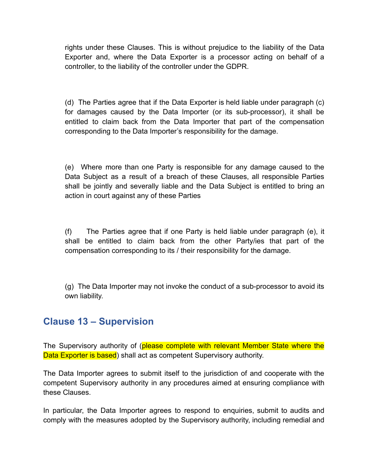rights under these Clauses. This is without prejudice to the liability of the Data Exporter and, where the Data Exporter is a processor acting on behalf of a controller, to the liability of the controller under the GDPR.

(d) The Parties agree that if the Data Exporter is held liable under paragraph (c) for damages caused by the Data Importer (or its sub-processor), it shall be entitled to claim back from the Data Importer that part of the compensation corresponding to the Data Importer's responsibility for the damage.

(e) Where more than one Party is responsible for any damage caused to the Data Subject as a result of a breach of these Clauses, all responsible Parties shall be jointly and severally liable and the Data Subject is entitled to bring an action in court against any of these Parties

(f) The Parties agree that if one Party is held liable under paragraph (e), it shall be entitled to claim back from the other Party/ies that part of the compensation corresponding to its / their responsibility for the damage.

(g) The Data Importer may not invoke the conduct of a sub-processor to avoid its own liability.

#### **Clause 13 – Supervision**

The Supervisory authority of (please complete with relevant Member State where the Data Exporter is based) shall act as competent Supervisory authority.

The Data Importer agrees to submit itself to the jurisdiction of and cooperate with the competent Supervisory authority in any procedures aimed at ensuring compliance with these Clauses.

In particular, the Data Importer agrees to respond to enquiries, submit to audits and comply with the measures adopted by the Supervisory authority, including remedial and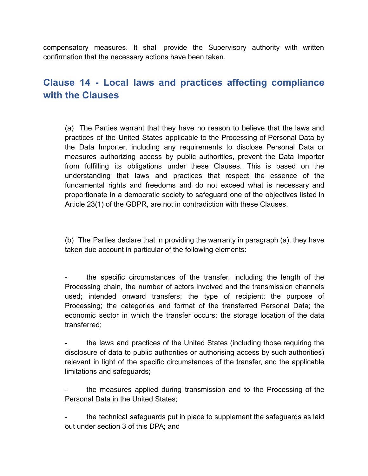compensatory measures. It shall provide the Supervisory authority with written confirmation that the necessary actions have been taken.

## **Clause 14 - Local laws and practices affecting compliance with the Clauses**

(a) The Parties warrant that they have no reason to believe that the laws and practices of the United States applicable to the Processing of Personal Data by the Data Importer, including any requirements to disclose Personal Data or measures authorizing access by public authorities, prevent the Data Importer from fulfilling its obligations under these Clauses. This is based on the understanding that laws and practices that respect the essence of the fundamental rights and freedoms and do not exceed what is necessary and proportionate in a democratic society to safeguard one of the objectives listed in Article 23(1) of the GDPR, are not in contradiction with these Clauses.

(b) The Parties declare that in providing the warranty in paragraph (a), they have taken due account in particular of the following elements:

the specific circumstances of the transfer, including the length of the Processing chain, the number of actors involved and the transmission channels used; intended onward transfers; the type of recipient; the purpose of Processing; the categories and format of the transferred Personal Data; the economic sector in which the transfer occurs; the storage location of the data transferred;

the laws and practices of the United States (including those requiring the disclosure of data to public authorities or authorising access by such authorities) relevant in light of the specific circumstances of the transfer, and the applicable limitations and safeguards;

the measures applied during transmission and to the Processing of the Personal Data in the United States;

the technical safeguards put in place to supplement the safeguards as laid out under section 3 of this DPA; and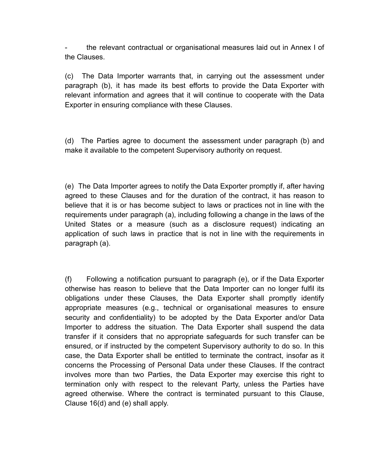- the relevant contractual or organisational measures laid out in Annex I of the Clauses.

(c) The Data Importer warrants that, in carrying out the assessment under paragraph (b), it has made its best efforts to provide the Data Exporter with relevant information and agrees that it will continue to cooperate with the Data Exporter in ensuring compliance with these Clauses.

(d) The Parties agree to document the assessment under paragraph (b) and make it available to the competent Supervisory authority on request.

(e) The Data Importer agrees to notify the Data Exporter promptly if, after having agreed to these Clauses and for the duration of the contract, it has reason to believe that it is or has become subject to laws or practices not in line with the requirements under paragraph (a), including following a change in the laws of the United States or a measure (such as a disclosure request) indicating an application of such laws in practice that is not in line with the requirements in paragraph (a).

(f) Following a notification pursuant to paragraph (e), or if the Data Exporter otherwise has reason to believe that the Data Importer can no longer fulfil its obligations under these Clauses, the Data Exporter shall promptly identify appropriate measures (e.g., technical or organisational measures to ensure security and confidentiality) to be adopted by the Data Exporter and/or Data Importer to address the situation. The Data Exporter shall suspend the data transfer if it considers that no appropriate safeguards for such transfer can be ensured, or if instructed by the competent Supervisory authority to do so. In this case, the Data Exporter shall be entitled to terminate the contract, insofar as it concerns the Processing of Personal Data under these Clauses. If the contract involves more than two Parties, the Data Exporter may exercise this right to termination only with respect to the relevant Party, unless the Parties have agreed otherwise. Where the contract is terminated pursuant to this Clause, Clause 16(d) and (e) shall apply.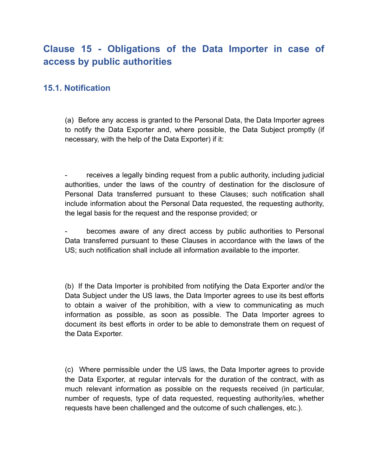## **Clause 15 - Obligations of the Data Importer in case of access by public authorities**

#### **15.1. Notification**

(a) Before any access is granted to the Personal Data, the Data Importer agrees to notify the Data Exporter and, where possible, the Data Subject promptly (if necessary, with the help of the Data Exporter) if it:

receives a legally binding request from a public authority, including judicial authorities, under the laws of the country of destination for the disclosure of Personal Data transferred pursuant to these Clauses; such notification shall include information about the Personal Data requested, the requesting authority, the legal basis for the request and the response provided; or

becomes aware of any direct access by public authorities to Personal Data transferred pursuant to these Clauses in accordance with the laws of the US; such notification shall include all information available to the importer.

(b) If the Data Importer is prohibited from notifying the Data Exporter and/or the Data Subject under the US laws, the Data Importer agrees to use its best efforts to obtain a waiver of the prohibition, with a view to communicating as much information as possible, as soon as possible. The Data Importer agrees to document its best efforts in order to be able to demonstrate them on request of the Data Exporter.

(c) Where permissible under the US laws, the Data Importer agrees to provide the Data Exporter, at regular intervals for the duration of the contract, with as much relevant information as possible on the requests received (in particular, number of requests, type of data requested, requesting authority/ies, whether requests have been challenged and the outcome of such challenges, etc.).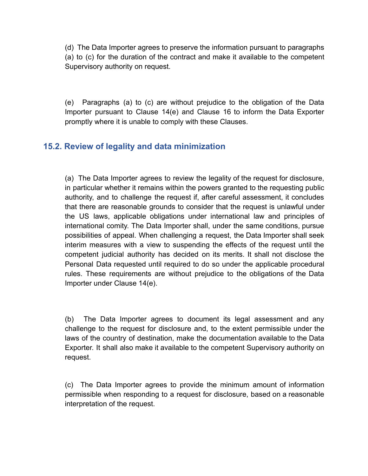(d) The Data Importer agrees to preserve the information pursuant to paragraphs (a) to (c) for the duration of the contract and make it available to the competent Supervisory authority on request.

(e) Paragraphs (a) to (c) are without prejudice to the obligation of the Data Importer pursuant to Clause 14(e) and Clause 16 to inform the Data Exporter promptly where it is unable to comply with these Clauses.

#### **15.2. Review of legality and data minimization**

(a) The Data Importer agrees to review the legality of the request for disclosure, in particular whether it remains within the powers granted to the requesting public authority, and to challenge the request if, after careful assessment, it concludes that there are reasonable grounds to consider that the request is unlawful under the US laws, applicable obligations under international law and principles of international comity. The Data Importer shall, under the same conditions, pursue possibilities of appeal. When challenging a request, the Data Importer shall seek interim measures with a view to suspending the effects of the request until the competent judicial authority has decided on its merits. It shall not disclose the Personal Data requested until required to do so under the applicable procedural rules. These requirements are without prejudice to the obligations of the Data Importer under Clause 14(e).

(b) The Data Importer agrees to document its legal assessment and any challenge to the request for disclosure and, to the extent permissible under the laws of the country of destination, make the documentation available to the Data Exporter. It shall also make it available to the competent Supervisory authority on request.

(c) The Data Importer agrees to provide the minimum amount of information permissible when responding to a request for disclosure, based on a reasonable interpretation of the request.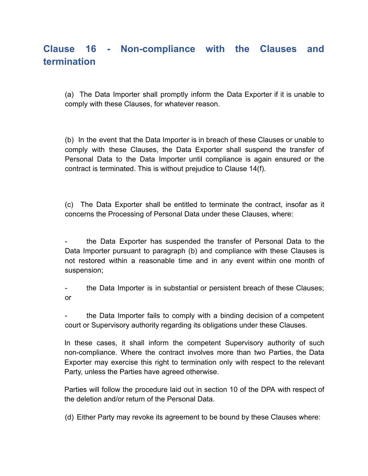## **Clause 16 - Non-compliance with the Clauses and termination**

(a) The Data Importer shall promptly inform the Data Exporter if it is unable to comply with these Clauses, for whatever reason.

(b) In the event that the Data Importer is in breach of these Clauses or unable to comply with these Clauses, the Data Exporter shall suspend the transfer of Personal Data to the Data Importer until compliance is again ensured or the contract is terminated. This is without prejudice to Clause 14(f).

(c) The Data Exporter shall be entitled to terminate the contract, insofar as it concerns the Processing of Personal Data under these Clauses, where:

- the Data Exporter has suspended the transfer of Personal Data to the Data Importer pursuant to paragraph (b) and compliance with these Clauses is not restored within a reasonable time and in any event within one month of suspension;

- the Data Importer is in substantial or persistent breach of these Clauses; or

the Data Importer fails to comply with a binding decision of a competent court or Supervisory authority regarding its obligations under these Clauses.

In these cases, it shall inform the competent Supervisory authority of such non-compliance. Where the contract involves more than two Parties, the Data Exporter may exercise this right to termination only with respect to the relevant Party, unless the Parties have agreed otherwise.

Parties will follow the procedure laid out in section 10 of the DPA with respect of the deletion and/or return of the Personal Data.

(d) Either Party may revoke its agreement to be bound by these Clauses where: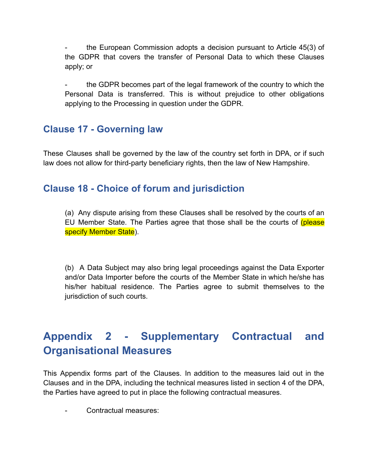- the European Commission adopts a decision pursuant to Article 45(3) of the GDPR that covers the transfer of Personal Data to which these Clauses apply; or

the GDPR becomes part of the legal framework of the country to which the Personal Data is transferred. This is without prejudice to other obligations applying to the Processing in question under the GDPR.

## **Clause 17 - Governing law**

These Clauses shall be governed by the law of the country set forth in DPA, or if such law does not allow for third-party beneficiary rights, then the law of New Hampshire.

## **Clause 18 - Choice of forum and jurisdiction**

(a) Any dispute arising from these Clauses shall be resolved by the courts of an EU Member State. The Parties agree that those shall be the courts of (please specify Member State).

(b) A Data Subject may also bring legal proceedings against the Data Exporter and/or Data Importer before the courts of the Member State in which he/she has his/her habitual residence. The Parties agree to submit themselves to the jurisdiction of such courts.

# **Appendix 2 - Supplementary Contractual and Organisational Measures**

This Appendix forms part of the Clauses. In addition to the measures laid out in the Clauses and in the DPA, including the technical measures listed in section 4 of the DPA, the Parties have agreed to put in place the following contractual measures.

- Contractual measures: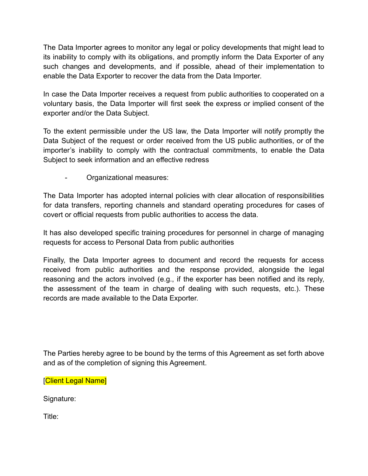The Data Importer agrees to monitor any legal or policy developments that might lead to its inability to comply with its obligations, and promptly inform the Data Exporter of any such changes and developments, and if possible, ahead of their implementation to enable the Data Exporter to recover the data from the Data Importer.

In case the Data Importer receives a request from public authorities to cooperated on a voluntary basis, the Data Importer will first seek the express or implied consent of the exporter and/or the Data Subject.

To the extent permissible under the US law, the Data Importer will notify promptly the Data Subject of the request or order received from the US public authorities, or of the importer's inability to comply with the contractual commitments, to enable the Data Subject to seek information and an effective redress

- Organizational measures:

The Data Importer has adopted internal policies with clear allocation of responsibilities for data transfers, reporting channels and standard operating procedures for cases of covert or official requests from public authorities to access the data.

It has also developed specific training procedures for personnel in charge of managing requests for access to Personal Data from public authorities

Finally, the Data Importer agrees to document and record the requests for access received from public authorities and the response provided, alongside the legal reasoning and the actors involved (e.g., if the exporter has been notified and its reply, the assessment of the team in charge of dealing with such requests, etc.). These records are made available to the Data Exporter.

The Parties hereby agree to be bound by the terms of this Agreement as set forth above and as of the completion of signing this Agreement.

[Client Legal Name]

Signature:

Title: